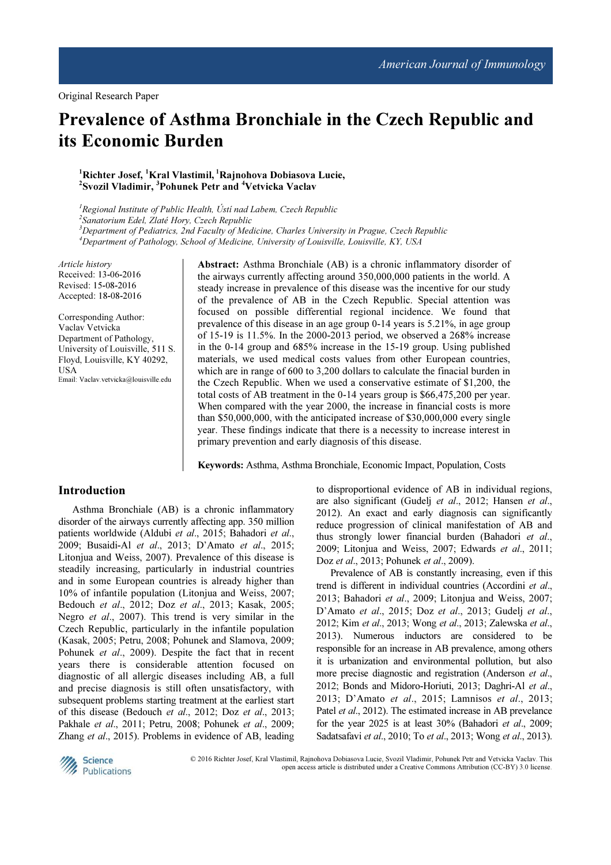# Prevalence of Asthma Bronchiale in the Czech Republic and its Economic Burden

### <sup>1</sup>Richter Josef, <sup>1</sup>Kral Vlastimil, <sup>1</sup>Rajnohova Dobiasova Lucie, <sup>2</sup> Svozil Vladimir, <sup>3</sup>Pohunek Petr and <sup>4</sup> Vetvicka Vaclav

 ${}^{1}$ Regional Institute of Public Health, Ústí nad Labem, Czech Republic 2 Sanatorium Edel, Zlaté Hory, Czech Republic  $3$ Department of Pediatrics, 2nd Faculty of Medicine, Charles University in Prague, Czech Republic <sup>4</sup>Department of Pathology, School of Medicine, University of Louisville, Louisville, KY, USA

Article history Received: 13-06-2016 Revised: 15-08-2016 Accepted: 18-08-2016

Corresponding Author: Vaclav Vetvicka Department of Pathology, University of Louisville, 511 S. Floyd, Louisville, KY 40292, USA Email: Vaclav.vetvicka@louisville.edu

Abstract: Asthma Bronchiale (AB) is a chronic inflammatory disorder of the airways currently affecting around 350,000,000 patients in the world. A steady increase in prevalence of this disease was the incentive for our study of the prevalence of AB in the Czech Republic. Special attention was focused on possible differential regional incidence. We found that prevalence of this disease in an age group 0-14 years is 5.21%, in age group of 15-19 is 11.5%. In the 2000-2013 period, we observed a 268% increase in the 0-14 group and 685% increase in the 15-19 group. Using published materials, we used medical costs values from other European countries, which are in range of 600 to 3,200 dollars to calculate the finacial burden in the Czech Republic. When we used a conservative estimate of \$1,200, the total costs of AB treatment in the 0-14 years group is \$66,475,200 per year. When compared with the year 2000, the increase in financial costs is more than \$50,000,000, with the anticipated increase of \$30,000,000 every single year. These findings indicate that there is a necessity to increase interest in primary prevention and early diagnosis of this disease.

Keywords: Asthma, Asthma Bronchiale, Economic Impact, Population, Costs

# Introduction

Asthma Bronchiale (AB) is a chronic inflammatory disorder of the airways currently affecting app. 350 million patients worldwide (Aldubi et al., 2015; Bahadori et al., 2009; Busaidi-Al et al., 2013; D'Amato et al., 2015; Litonjua and Weiss, 2007). Prevalence of this disease is steadily increasing, particularly in industrial countries and in some European countries is already higher than 10% of infantile population (Litonjua and Weiss, 2007; Bedouch et al., 2012; Doz et al., 2013; Kasak, 2005; Negro *et al.*, 2007). This trend is very similar in the Czech Republic, particularly in the infantile population (Kasak, 2005; Petru, 2008; Pohunek and Slamova, 2009; Pohunek et al., 2009). Despite the fact that in recent years there is considerable attention focused on diagnostic of all allergic diseases including AB, a full and precise diagnosis is still often unsatisfactory, with subsequent problems starting treatment at the earliest start of this disease (Bedouch et al., 2012; Doz et al., 2013; Pakhale et al., 2011; Petru, 2008; Pohunek et al., 2009; Zhang et al., 2015). Problems in evidence of AB, leading to disproportional evidence of AB in individual regions, are also significant (Gudelj et al., 2012; Hansen et al., 2012). An exact and early diagnosis can significantly reduce progression of clinical manifestation of AB and thus strongly lower financial burden (Bahadori et al., 2009; Litonjua and Weiss, 2007; Edwards et al., 2011; Doz et al., 2013; Pohunek et al., 2009).

Prevalence of AB is constantly increasing, even if this trend is different in individual countries (Accordini et al., 2013; Bahadori et al., 2009; Litonjua and Weiss, 2007; D'Amato et al., 2015; Doz et al., 2013; Gudelj et al., 2012; Kim et al., 2013; Wong et al., 2013; Zalewska et al., 2013). Numerous inductors are considered to be responsible for an increase in AB prevalence, among others it is urbanization and environmental pollution, but also more precise diagnostic and registration (Anderson et al., 2012; Bonds and Midoro-Horiuti, 2013; Daghri-Al et al., 2013; D'Amato et al., 2015; Lamnisos et al., 2013; Patel *et al.*, 2012). The estimated increase in AB prevelance for the year 2025 is at least 30% (Bahadori et al., 2009; Sadatsafavi et al., 2010; To et al., 2013; Wong et al., 2013).



© 2016 Richter Josef, Kral Vlastimil, Rajnohova Dobiasova Lucie, Svozil Vladimir, Pohunek Petr and Vetvicka Vaclav. This open access article is distributed under a Creative Commons Attribution (CC-BY) 3.0 license.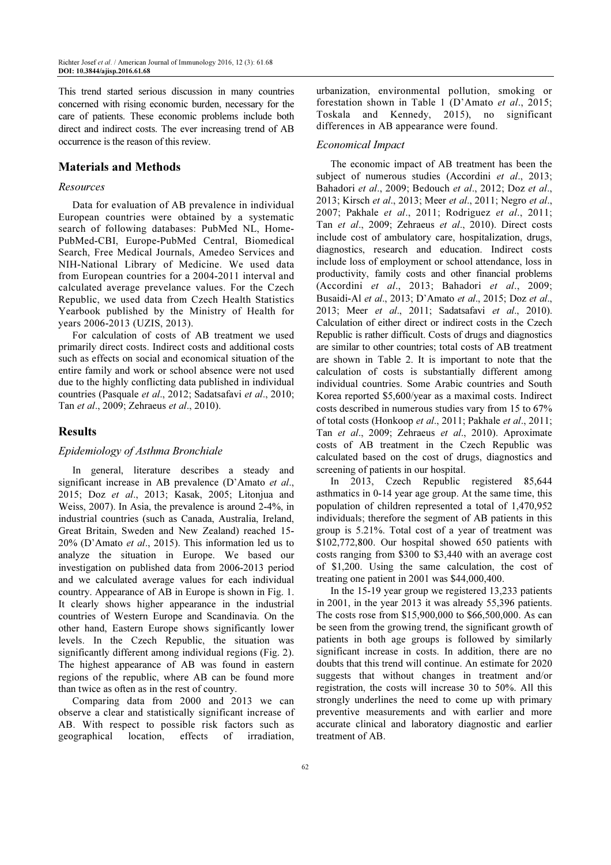This trend started serious discussion in many countries concerned with rising economic burden, necessary for the care of patients. These economic problems include both direct and indirect costs. The ever increasing trend of AB occurrence is the reason of this review.

## Materials and Methods

#### Resources

Data for evaluation of AB prevalence in individual European countries were obtained by a systematic search of following databases: PubMed NL, Home-PubMed-CBI, Europe-PubMed Central, Biomedical Search, Free Medical Journals, Amedeo Services and NIH-National Library of Medicine. We used data from European countries for a 2004-2011 interval and calculated average prevelance values. For the Czech Republic, we used data from Czech Health Statistics Yearbook published by the Ministry of Health for years 2006-2013 (UZIS, 2013).

For calculation of costs of AB treatment we used primarily direct costs. Indirect costs and additional costs such as effects on social and economical situation of the entire family and work or school absence were not used due to the highly conflicting data published in individual countries (Pasquale et al., 2012; Sadatsafavi et al., 2010; Tan et al., 2009; Zehraeus et al., 2010).

## Results

#### Epidemiology of Asthma Bronchiale

In general, literature describes a steady and significant increase in AB prevalence (D'Amato et al., 2015; Doz et al., 2013; Kasak, 2005; Litonjua and Weiss, 2007). In Asia, the prevalence is around 2-4%, in industrial countries (such as Canada, Australia, Ireland, Great Britain, Sweden and New Zealand) reached 15- 20% (D'Amato et al., 2015). This information led us to analyze the situation in Europe. We based our investigation on published data from 2006-2013 period and we calculated average values for each individual country. Appearance of AB in Europe is shown in Fig. 1. It clearly shows higher appearance in the industrial countries of Western Europe and Scandinavia. On the other hand, Eastern Europe shows significantly lower levels. In the Czech Republic, the situation was significantly different among individual regions (Fig. 2). The highest appearance of AB was found in eastern regions of the republic, where AB can be found more than twice as often as in the rest of country.

Comparing data from 2000 and 2013 we can observe a clear and statistically significant increase of AB. With respect to possible risk factors such as geographical location, effects of irradiation,

urbanization, environmental pollution, smoking or forestation shown in Table 1 (D'Amato et al., 2015; Toskala and Kennedy, 2015), no significant differences in AB appearance were found.

#### Economical Impact

The economic impact of AB treatment has been the subject of numerous studies (Accordini et al., 2013; Bahadori et al., 2009; Bedouch et al., 2012; Doz et al., 2013; Kirsch et al., 2013; Meer et al., 2011; Negro et al., 2007; Pakhale et al., 2011; Rodriguez et al., 2011; Tan et al., 2009; Zehraeus et al., 2010). Direct costs include cost of ambulatory care, hospitalization, drugs, diagnostics, research and education. Indirect costs include loss of employment or school attendance, loss in productivity, family costs and other financial problems (Accordini et al., 2013; Bahadori et al., 2009; Busaidi-Al et al., 2013; D'Amato et al., 2015; Doz et al., 2013; Meer et al., 2011; Sadatsafavi et al., 2010). Calculation of either direct or indirect costs in the Czech Republic is rather difficult. Costs of drugs and diagnostics are similar to other countries; total costs of AB treatment are shown in Table 2. It is important to note that the calculation of costs is substantially different among individual countries. Some Arabic countries and South Korea reported \$5,600/year as a maximal costs. Indirect costs described in numerous studies vary from 15 to 67% of total costs (Honkoop et al., 2011; Pakhale et al., 2011; Tan et al., 2009; Zehraeus et al., 2010). Aproximate costs of AB treatment in the Czech Republic was calculated based on the cost of drugs, diagnostics and screening of patients in our hospital.

In 2013, Czech Republic registered 85,644 asthmatics in 0-14 year age group. At the same time, this population of children represented a total of 1,470,952 individuals; therefore the segment of AB patients in this group is 5.21%. Total cost of a year of treatment was \$102,772,800. Our hospital showed 650 patients with costs ranging from \$300 to \$3,440 with an average cost of \$1,200. Using the same calculation, the cost of treating one patient in 2001 was \$44,000,400.

In the 15-19 year group we registered 13,233 patients in 2001, in the year 2013 it was already 55,396 patients. The costs rose from \$15,900,000 to \$66,500,000. As can be seen from the growing trend, the significant growth of patients in both age groups is followed by similarly significant increase in costs. In addition, there are no doubts that this trend will continue. An estimate for 2020 suggests that without changes in treatment and/or registration, the costs will increase 30 to 50%. All this strongly underlines the need to come up with primary preventive measurements and with earlier and more accurate clinical and laboratory diagnostic and earlier treatment of AB.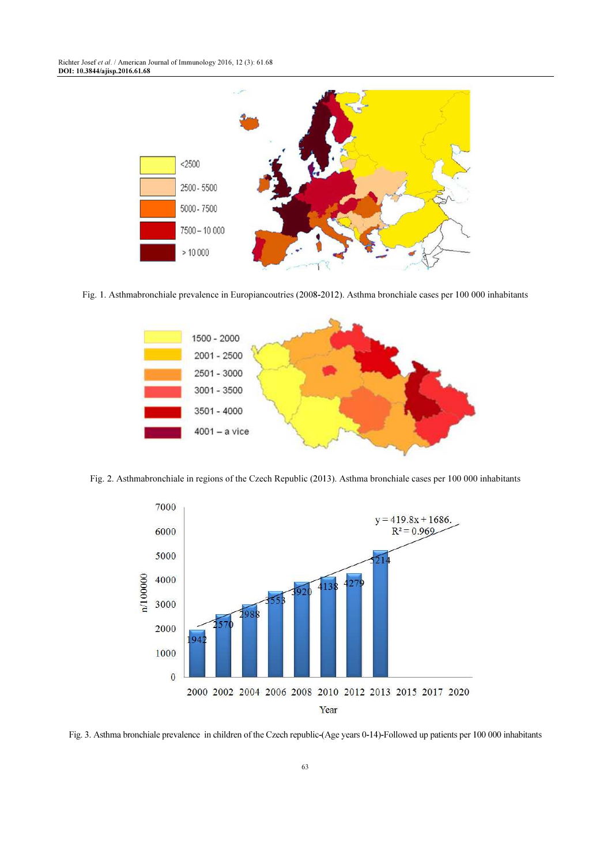

Fig. 1. Asthmabronchiale prevalence in Europiancoutries (2008-2012). Asthma bronchiale cases per 100 000 inhabitants



Fig. 2. Asthmabronchiale in regions of the Czech Republic (2013). Asthma bronchiale cases per 100 000 inhabitants



Fig. 3. Asthma bronchiale prevalence in children of the Czech republic-(Age years 0-14)-Followed up patients per 100 000 inhabitants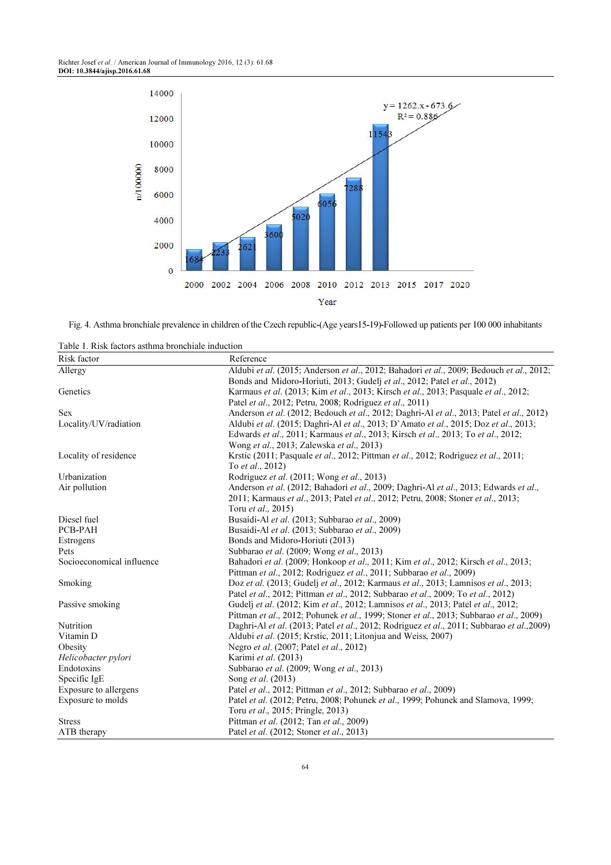

Fig. 4. Asthma bronchiale prevalence in children of the Czech republic-(Age years15-19)-Followed up patients per 100 000 inhabitants

Table 1. Risk factors asthma bronchiale induction

| Risk factor               | Reference                                                                                  |  |  |  |
|---------------------------|--------------------------------------------------------------------------------------------|--|--|--|
| Allergy                   | Aldubi et al. (2015; Anderson et al., 2012; Bahadori et al., 2009; Bedouch et al., 2012;   |  |  |  |
|                           | Bonds and Midoro-Horiuti, 2013; Gudelj et al., 2012; Patel et al., 2012)                   |  |  |  |
| Genetics                  | Karmaus et al. (2013; Kim et al., 2013; Kirsch et al., 2013; Pasquale et al., 2012;        |  |  |  |
|                           | Patel et al., 2012; Petru, 2008; Rodriguez et al., 2011)                                   |  |  |  |
| <b>Sex</b>                | Anderson et al. (2012; Bedouch et al., 2012; Daghri-Al et al., 2013; Patel et al., 2012)   |  |  |  |
| Locality/UV/radiation     | Aldubi et al. (2015; Daghri-Al et al., 2013; D'Amato et al., 2015; Doz et al., 2013;       |  |  |  |
|                           | Edwards et al., 2011; Karmaus et al., 2013; Kirsch et al., 2013; To et al., 2012;          |  |  |  |
|                           | Wong et al., 2013; Zalewska et al., 2013)                                                  |  |  |  |
| Locality of residence     | Krstic (2011; Pasquale et al., 2012; Pittman et al., 2012; Rodriguez et al., 2011;         |  |  |  |
|                           | To et al., 2012)                                                                           |  |  |  |
| Urbanization              | Rodriguez et al. (2011; Wong et al., 2013)                                                 |  |  |  |
| Air pollution             | Anderson et al. (2012; Bahadori et al., 2009; Daghri-Al et al., 2013; Edwards et al.,      |  |  |  |
|                           | 2011; Karmaus et al., 2013; Patel et al., 2012; Petru, 2008; Stoner et al., 2013;          |  |  |  |
|                           | Toru <i>et al.</i> , 2015)                                                                 |  |  |  |
| Diesel fuel               | Busaidi-Al et al. (2013; Subbarao et al., 2009)                                            |  |  |  |
| PCB-PAH                   | Busaidi-Al et al. (2013; Subbarao et al., 2009)                                            |  |  |  |
| Estrogens                 | Bonds and Midoro-Horiuti (2013)                                                            |  |  |  |
| Pets                      | Subbarao et al. (2009; Wong et al., 2013)                                                  |  |  |  |
| Socioeconomical influence | Bahadori et al. (2009; Honkoop et al., 2011; Kim et al., 2012; Kirsch et al., 2013;        |  |  |  |
|                           | Pittman et al., 2012; Rodriguez et al., 2011; Subbarao et al., 2009)                       |  |  |  |
| Smoking                   | Doz et al. (2013; Gudelj et al., 2012; Karmaus et al., 2013; Lamnisos et al., 2013;        |  |  |  |
|                           | Patel et al., 2012; Pittman et al., 2012; Subbarao et al., 2009; To et al., 2012)          |  |  |  |
| Passive smoking           | Gudelj et al. (2012; Kim et al., 2012; Lamnisos et al., 2013; Patel et al., 2012;          |  |  |  |
|                           | Pittman et al., 2012; Pohunek et al., 1999; Stoner et al., 2013; Subbarao et al., 2009)    |  |  |  |
| Nutrition                 | Daghri-Al et al. (2013; Patel et al., 2012; Rodriguez et al., 2011; Subbarao et al., 2009) |  |  |  |
| Vitamin D                 | Aldubi et al. (2015; Krstic, 2011; Litonjua and Weiss, 2007)                               |  |  |  |
| Obesity                   | Negro <i>et al.</i> (2007; Patel <i>et al.</i> , 2012)                                     |  |  |  |
| Helicobacter pylori       | Karimi et al. (2013)                                                                       |  |  |  |
| Endotoxins                | Subbarao et al. (2009; Wong et al., 2013)                                                  |  |  |  |
| Specific IgE              | Song et al. (2013)                                                                         |  |  |  |
| Exposure to allergens     | Patel et al., 2012; Pittman et al., 2012; Subbarao et al., 2009)                           |  |  |  |
| Exposure to molds         | Patel et al. (2012; Petru, 2008; Pohunek et al., 1999; Pohunek and Slamova, 1999;          |  |  |  |
|                           | Toru et al., 2015; Pringle, 2013)                                                          |  |  |  |
| <b>Stress</b>             | Pittman et al. (2012; Tan et al., 2009)                                                    |  |  |  |
| ATB therapy               | Patel et al. (2012; Stoner et al., 2013)                                                   |  |  |  |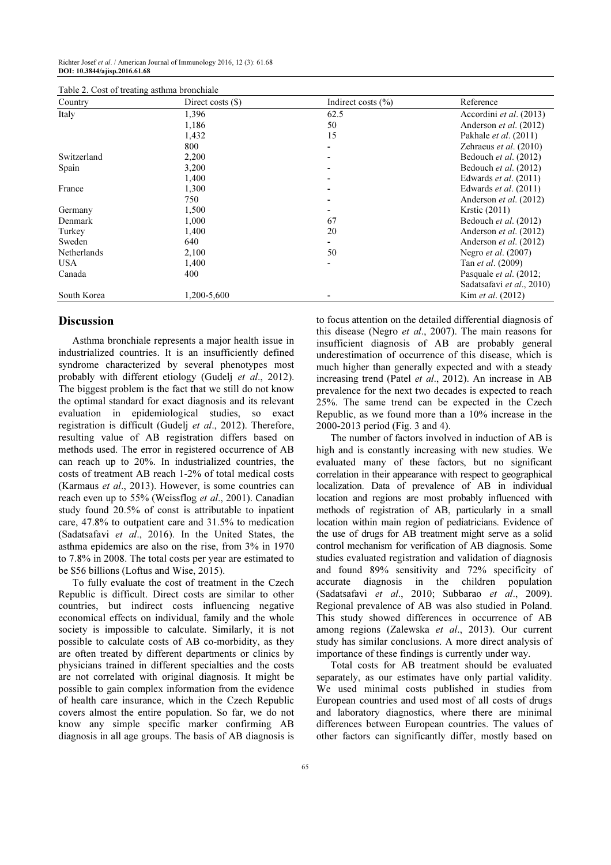Richter Josef et al. / American Journal of Immunology 2016, 12 (3): 61.68 DOI: 10.3844/ajisp.2016.61.68

| Country            | Direct costs $(\$)$ | Indirect costs $(\% )$ | Reference                     |
|--------------------|---------------------|------------------------|-------------------------------|
| Italy              | 1,396               | 62.5                   | Accordini et al. (2013)       |
|                    | 1,186               | 50                     | Anderson et al. (2012)        |
|                    | 1,432               | 15                     | Pakhale <i>et al.</i> (2011)  |
|                    | 800                 |                        | Zehraeus et al. (2010)        |
| Switzerland        | 2,200               |                        | Bedouch et al. (2012)         |
| Spain              | 3,200               |                        | Bedouch et al. (2012)         |
|                    | 1,400               |                        | Edwards et al. (2011)         |
| France             | 1,300               |                        | Edwards <i>et al.</i> (2011)  |
|                    | 750                 |                        | Anderson <i>et al.</i> (2012) |
| Germany            | 1,500               |                        | Krstic (2011)                 |
| Denmark            | 1,000               | 67                     | Bedouch et al. (2012)         |
| Turkey             | 1,400               | 20                     | Anderson et al. (2012)        |
| Sweden             | 640                 |                        | Anderson et al. (2012)        |
| <b>Netherlands</b> | 2,100               | 50                     | Negro <i>et al.</i> (2007)    |
| USA.               | 1,400               |                        | Tan <i>et al.</i> (2009)      |
| Canada             | 400                 |                        | Pasquale <i>et al.</i> (2012; |
|                    |                     |                        | Sadatsafavi et al., 2010)     |
| South Korea        | 1,200-5,600         |                        | Kim et al. (2012)             |

|  |  | Table 2. Cost of treating asthma bronchiale |
|--|--|---------------------------------------------|
|  |  |                                             |

#### Discussion

Asthma bronchiale represents a major health issue in industrialized countries. It is an insufficiently defined syndrome characterized by several phenotypes most probably with different etiology (Gudelj et al., 2012). The biggest problem is the fact that we still do not know the optimal standard for exact diagnosis and its relevant evaluation in epidemiological studies, so exact registration is difficult (Gudelj et al., 2012). Therefore, resulting value of AB registration differs based on methods used. The error in registered occurrence of AB can reach up to 20%. In industrialized countries, the costs of treatment AB reach 1-2% of total medical costs (Karmaus et al., 2013). However, is some countries can reach even up to 55% (Weissflog et al., 2001). Canadian study found 20.5% of const is attributable to inpatient care, 47.8% to outpatient care and 31.5% to medication (Sadatsafavi et al., 2016). In the United States, the asthma epidemics are also on the rise, from 3% in 1970 to 7.8% in 2008. The total costs per year are estimated to be \$56 billions (Loftus and Wise, 2015).

To fully evaluate the cost of treatment in the Czech Republic is difficult. Direct costs are similar to other countries, but indirect costs influencing negative economical effects on individual, family and the whole society is impossible to calculate. Similarly, it is not possible to calculate costs of AB co-morbidity, as they are often treated by different departments or clinics by physicians trained in different specialties and the costs are not correlated with original diagnosis. It might be possible to gain complex information from the evidence of health care insurance, which in the Czech Republic covers almost the entire population. So far, we do not know any simple specific marker confirming AB diagnosis in all age groups. The basis of AB diagnosis is to focus attention on the detailed differential diagnosis of this disease (Negro et al., 2007). The main reasons for insufficient diagnosis of AB are probably general underestimation of occurrence of this disease, which is much higher than generally expected and with a steady increasing trend (Patel et al., 2012). An increase in AB prevalence for the next two decades is expected to reach 25%. The same trend can be expected in the Czech Republic, as we found more than a 10% increase in the 2000-2013 period (Fig. 3 and 4).

The number of factors involved in induction of AB is high and is constantly increasing with new studies. We evaluated many of these factors, but no significant correlation in their appearance with respect to geographical localization. Data of prevalence of AB in individual location and regions are most probably influenced with methods of registration of AB, particularly in a small location within main region of pediatricians. Evidence of the use of drugs for AB treatment might serve as a solid control mechanism for verification of AB diagnosis. Some studies evaluated registration and validation of diagnosis and found 89% sensitivity and 72% specificity of accurate diagnosis in the children population (Sadatsafavi et al., 2010; Subbarao et al., 2009). Regional prevalence of AB was also studied in Poland. This study showed differences in occurrence of AB among regions (Zalewska et al., 2013). Our current study has similar conclusions. A more direct analysis of importance of these findings is currently under way.

Total costs for AB treatment should be evaluated separately, as our estimates have only partial validity. We used minimal costs published in studies from European countries and used most of all costs of drugs and laboratory diagnostics, where there are minimal differences between European countries. The values of other factors can significantly differ, mostly based on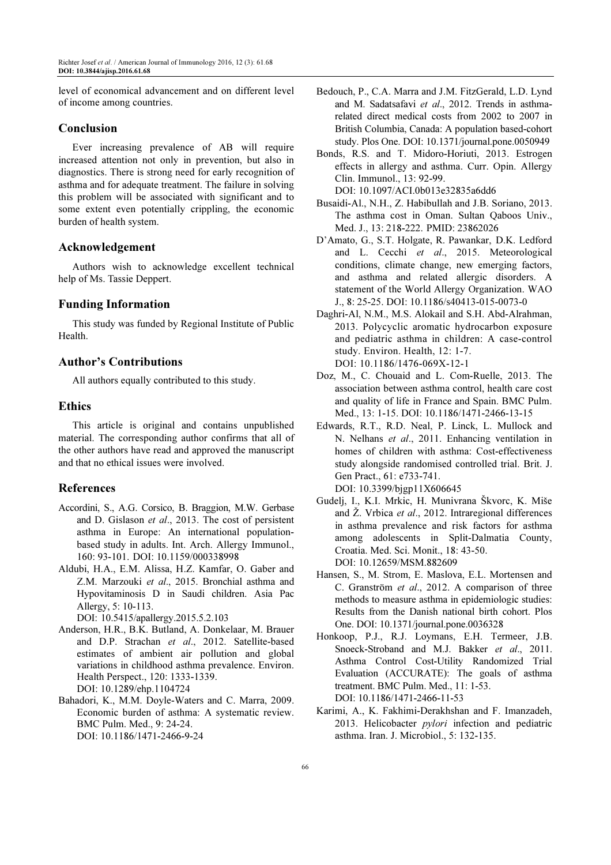level of economical advancement and on different level of income among countries.

## Conclusion

Ever increasing prevalence of AB will require increased attention not only in prevention, but also in diagnostics. There is strong need for early recognition of asthma and for adequate treatment. The failure in solving this problem will be associated with significant and to some extent even potentially crippling, the economic burden of health system.

# Acknowledgement

Authors wish to acknowledge excellent technical help of Ms. Tassie Deppert.

# Funding Information

This study was funded by Regional Institute of Public Health.

# Author's Contributions

All authors equally contributed to this study.

# Ethics

This article is original and contains unpublished material. The corresponding author confirms that all of the other authors have read and approved the manuscript and that no ethical issues were involved.

## References

- Accordini, S., A.G. Corsico, B. Braggion, M.W. Gerbase and D. Gislason et al., 2013. The cost of persistent asthma in Europe: An international populationbased study in adults. Int. Arch. Allergy Immunol., 160: 93-101. DOI: 10.1159/000338998
- Aldubi, H.A., E.M. Alissa, H.Z. Kamfar, O. Gaber and Z.M. Marzouki et al., 2015. Bronchial asthma and Hypovitaminosis D in Saudi children. Asia Pac Allergy, 5: 10-113.

DOI: 10.5415/apallergy.2015.5.2.103

- Anderson, H.R., B.K. Butland, A. Donkelaar, M. Brauer and D.P. Strachan et al., 2012. Satellite-based estimates of ambient air pollution and global variations in childhood asthma prevalence. Environ. Health Perspect., 120: 1333-1339. DOI: 10.1289/ehp.1104724
- Bahadori, K., M.M. Doyle-Waters and C. Marra, 2009. Economic burden of asthma: A systematic review. BMC Pulm. Med., 9: 24-24. DOI: 10.1186/1471-2466-9-24
- Bedouch, P., C.A. Marra and J.M. FitzGerald, L.D. Lynd and M. Sadatsafavi et al., 2012. Trends in asthmarelated direct medical costs from 2002 to 2007 in British Columbia, Canada: A population based-cohort study. Plos One. DOI: 10.1371/journal.pone.0050949
- Bonds, R.S. and T. Midoro-Horiuti, 2013. Estrogen effects in allergy and asthma. Curr. Opin. Allergy Clin. Immunol., 13: 92-99. DOI: 10.1097/ACI.0b013e32835a6dd6
- Busaidi-Al., N.H., Z. Habibullah and J.B. Soriano, 2013. The asthma cost in Oman. Sultan Qaboos Univ., Med. J., 13: 218-222. PMID: 23862026
- D'Amato, G., S.T. Holgate, R. Pawankar, D.K. Ledford and L. Cecchi et al., 2015. Meteorological conditions, climate change, new emerging factors, and asthma and related allergic disorders. A statement of the World Allergy Organization. WAO J., 8: 25-25. DOI: 10.1186/s40413-015-0073-0
- Daghri-Al, N.M., M.S. Alokail and S.H. Abd-Alrahman, 2013. Polycyclic aromatic hydrocarbon exposure and pediatric asthma in children: A case-control study. Environ. Health, 12: 1-7. DOI: 10.1186/1476-069X-12-1
- Doz, M., C. Chouaid and L. Com-Ruelle, 2013. The association between asthma control, health care cost and quality of life in France and Spain. BMC Pulm. Med., 13: 1-15. DOI: 10.1186/1471-2466-13-15
- Edwards, R.T., R.D. Neal, P. Linck, L. Mullock and N. Nelhans et al., 2011. Enhancing ventilation in homes of children with asthma: Cost-effectiveness study alongside randomised controlled trial. Brit. J. Gen Pract., 61: e733-741. DOI: 10.3399/bjgp11X606645
- Gudelj, I., K.I. Mrkic, H. Munivrana Škvorc, K. Miše and Ž. Vrbica et al., 2012. Intraregional differences in asthma prevalence and risk factors for asthma among adolescents in Split-Dalmatia County, Croatia. Med. Sci. Monit., 18: 43-50. DOI: 10.12659/MSM.882609
- Hansen, S., M. Strom, E. Maslova, E.L. Mortensen and C. Granström et al., 2012. A comparison of three methods to measure asthma in epidemiologic studies: Results from the Danish national birth cohort. Plos One. DOI: 10.1371/journal.pone.0036328
- Honkoop, P.J., R.J. Loymans, E.H. Termeer, J.B. Snoeck-Stroband and M.J. Bakker et al., 2011. Asthma Control Cost-Utility Randomized Trial Evaluation (ACCURATE): The goals of asthma treatment. BMC Pulm. Med., 11: 1-53. DOI: 10.1186/1471-2466-11-53
- Karimi, A., K. Fakhimi-Derakhshan and F. Imanzadeh, 2013. Helicobacter pylori infection and pediatric asthma. Iran. J. Microbiol., 5: 132-135.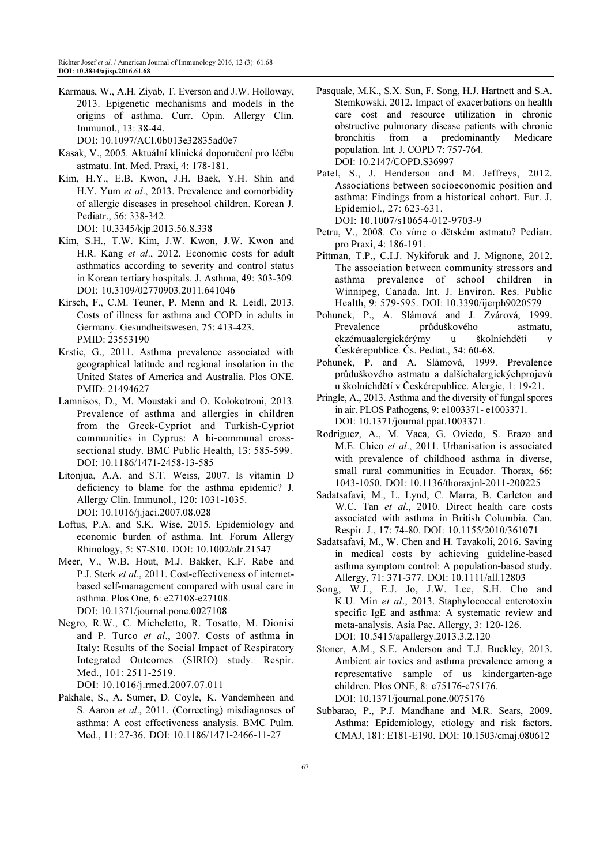Karmaus, W., A.H. Ziyab, T. Everson and J.W. Holloway, 2013. Epigenetic mechanisms and models in the origins of asthma. Curr. Opin. Allergy Clin. Immunol., 13: 38-44.

DOI: 10.1097/ACI.0b013e32835ad0e7

- Kasak, V., 2005. Aktuální klinická doporučení pro léčbu astmatu. Int. Med. Praxi, 4: 178-181.
- Kim, H.Y., E.B. Kwon, J.H. Baek, Y.H. Shin and H.Y. Yum et al., 2013. Prevalence and comorbidity of allergic diseases in preschool children. Korean J. Pediatr., 56: 338-342. DOI: 10.3345/kjp.2013.56.8.338
- Kim, S.H., T.W. Kim, J.W. Kwon, J.W. Kwon and H.R. Kang et al., 2012. Economic costs for adult asthmatics according to severity and control status in Korean tertiary hospitals. J. Asthma, 49: 303-309. DOI: 10.3109/02770903.2011.641046
- Kirsch, F., C.M. Teuner, P. Menn and R. Leidl, 2013. Costs of illness for asthma and COPD in adults in Germany. Gesundheitswesen, 75: 413-423. PMID: 23553190
- Krstic, G., 2011. Asthma prevalence associated with geographical latitude and regional insolation in the United States of America and Australia. Plos ONE. PMID: 21494627
- Lamnisos, D., M. Moustaki and O. Kolokotroni, 2013. Prevalence of asthma and allergies in children from the Greek-Cypriot and Turkish-Cypriot communities in Cyprus: A bi-communal crosssectional study. BMC Public Health, 13: 585-599. DOI: 10.1186/1471-2458-13-585
- Litonjua, A.A. and S.T. Weiss, 2007. Is vitamin D deficiency to blame for the asthma epidemic? J. Allergy Clin. Immunol., 120: 1031-1035. DOI: 10.1016/j.jaci.2007.08.028
- Loftus, P.A. and S.K. Wise, 2015. Epidemiology and economic burden of asthma. Int. Forum Allergy Rhinology, 5: S7-S10. DOI: 10.1002/alr.21547
- Meer, V., W.B. Hout, M.J. Bakker, K.F. Rabe and P.J. Sterk et al., 2011. Cost-effectiveness of internetbased self-management compared with usual care in asthma. Plos One, 6: e27108-e27108. DOI: 10.1371/journal.pone.0027108
- Negro, R.W., C. Micheletto, R. Tosatto, M. Dionisi and P. Turco et al., 2007. Costs of asthma in Italy: Results of the Social Impact of Respiratory Integrated Outcomes (SIRIO) study. Respir. Med., 101: 2511-2519.

DOI: 10.1016/j.rmed.2007.07.011

Pakhale, S., A. Sumer, D. Coyle, K. Vandemheen and S. Aaron et al., 2011. (Correcting) misdiagnoses of asthma: A cost effectiveness analysis. BMC Pulm. Med., 11: 27-36. DOI: 10.1186/1471-2466-11-27

- Pasquale, M.K., S.X. Sun, F. Song, H.J. Hartnett and S.A. Stemkowski, 2012. Impact of exacerbations on health care cost and resource utilization in chronic obstructive pulmonary disease patients with chronic bronchitis from a predominantly Medicare population. Int. J. COPD 7: 757-764. DOI: 10.2147/COPD.S36997
- Patel, S., J. Henderson and M. Jeffreys, 2012. Associations between socioeconomic position and asthma: Findings from a historical cohort. Eur. J. Epidemiol., 27: 623-631.

DOI: 10.1007/s10654-012-9703-9

- Petru, V., 2008. Co víme o dětském astmatu? Pediatr. pro Praxi, 4: 186-191.
- Pittman, T.P., C.I.J. Nykiforuk and J. Mignone, 2012. The association between community stressors and asthma prevalence of school children in Winnipeg, Canada. Int. J. Environ. Res. Public Health, 9: 579-595. DOI: 10.3390/ijerph9020579
- Pohunek, P., A. Slámová and J. Zvárová, 1999. Prevalence průduškového astmatu, ekzémuaalergickérýmy u školníchdětí v Českérepublice. Čs. Pediat., 54: 60-68.
- Pohunek, P. and A. Slámová, 1999. Prevalence průduškového astmatu a dalšíchalergickýchprojevů u školníchdětí v Českérepublice. Alergie, 1: 19-21.
- Pringle, A., 2013. Asthma and the diversity of fungal spores in air. PLOS Pathogens, 9: e1003371- e1003371. DOI: 10.1371/journal.ppat.1003371.
- Rodriguez, A., M. Vaca, G. Oviedo, S. Erazo and M.E. Chico et al., 2011. Urbanisation is associated with prevalence of childhood asthma in diverse, small rural communities in Ecuador. Thorax, 66: 1043-1050. DOI: 10.1136/thoraxjnl-2011-200225
- Sadatsafavi, M., L. Lynd, C. Marra, B. Carleton and W.C. Tan et al., 2010. Direct health care costs associated with asthma in British Columbia. Can. Respir. J., 17: 74-80. DOI: 10.1155/2010/361071
- Sadatsafavi, M., W. Chen and H. Tavakoli, 2016. Saving in medical costs by achieving guideline-based asthma symptom control: A population-based study. Allergy, 71: 371-377. DOI: 10.1111/all.12803
- Song, W.J., E.J. Jo, J.W. Lee, S.H. Cho and K.U. Min et al., 2013. Staphylococcal enterotoxin specific IgE and asthma: A systematic review and meta-analysis. Asia Pac. Allergy, 3: 120-126. DOI: 10.5415/apallergy.2013.3.2.120
- Stoner, A.M., S.E. Anderson and T.J. Buckley, 2013. Ambient air toxics and asthma prevalence among a representative sample of us kindergarten-age children. Plos ONE, 8: e75176-e75176. DOI: 10.1371/journal.pone.0075176
- Subbarao, P., P.J. Mandhane and M.R. Sears, 2009. Asthma: Epidemiology, etiology and risk factors. CMAJ, 181: E181-E190. DOI: 10.1503/cmaj.080612